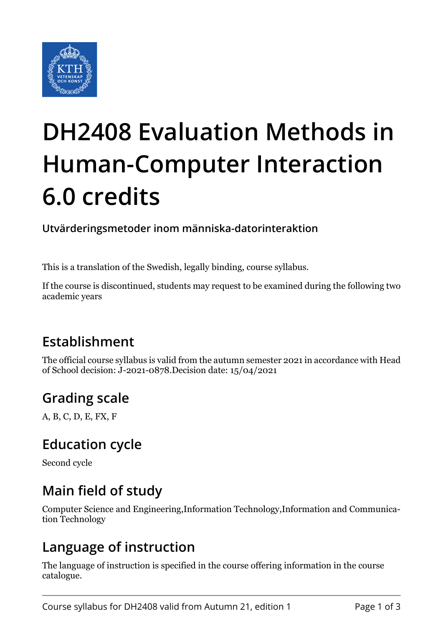

# **DH2408 Evaluation Methods in Human-Computer Interaction 6.0 credits**

**Utvärderingsmetoder inom människa-datorinteraktion**

This is a translation of the Swedish, legally binding, course syllabus.

If the course is discontinued, students may request to be examined during the following two academic years

## **Establishment**

The official course syllabus is valid from the autumn semester 2021 in accordance with Head of School decision: J-2021-0878.Decision date: 15/04/2021

#### **Grading scale**

A, B, C, D, E, FX, F

#### **Education cycle**

Second cycle

#### **Main field of study**

Computer Science and Engineering,Information Technology,Information and Communication Technology

#### **Language of instruction**

The language of instruction is specified in the course offering information in the course catalogue.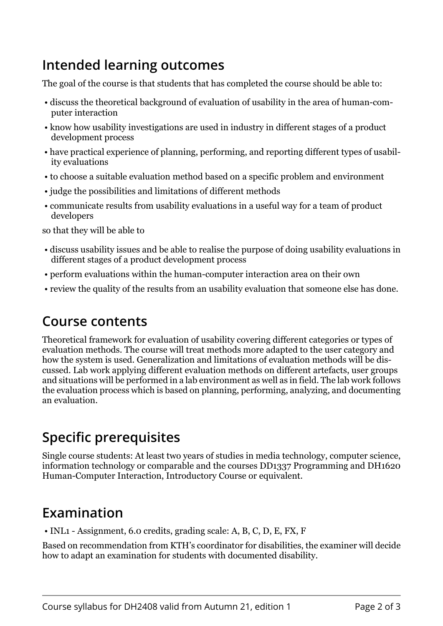## **Intended learning outcomes**

The goal of the course is that students that has completed the course should be able to:

- discuss the theoretical background of evaluation of usability in the area of human-computer interaction
- know how usability investigations are used in industry in different stages of a product development process
- have practical experience of planning, performing, and reporting different types of usability evaluations
- to choose a suitable evaluation method based on a specific problem and environment
- judge the possibilities and limitations of different methods
- communicate results from usability evaluations in a useful way for a team of product developers

so that they will be able to

- discuss usability issues and be able to realise the purpose of doing usability evaluations in different stages of a product development process
- perform evaluations within the human-computer interaction area on their own
- review the quality of the results from an usability evaluation that someone else has done.

#### **Course contents**

Theoretical framework for evaluation of usability covering different categories or types of evaluation methods. The course will treat methods more adapted to the user category and how the system is used. Generalization and limitations of evaluation methods will be discussed. Lab work applying different evaluation methods on different artefacts, user groups and situations will be performed in a lab environment as well as in field. The lab work follows the evaluation process which is based on planning, performing, analyzing, and documenting an evaluation.

## **Specific prerequisites**

Single course students: At least two years of studies in media technology, computer science, information technology or comparable and the courses DD1337 Programming and DH1620 Human-Computer Interaction, Introductory Course or equivalent.

## **Examination**

• INL1 - Assignment, 6.0 credits, grading scale: A, B, C, D, E, FX, F

Based on recommendation from KTH's coordinator for disabilities, the examiner will decide how to adapt an examination for students with documented disability.